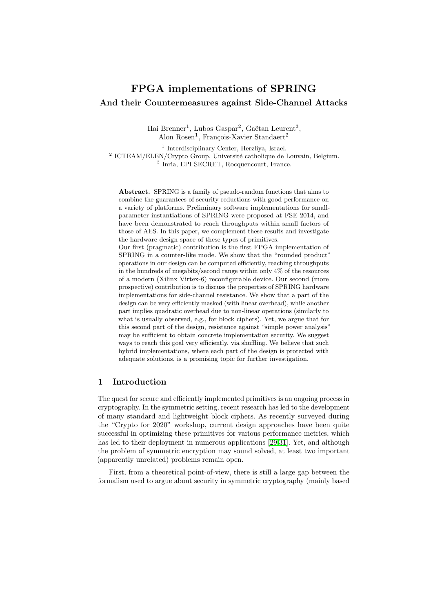# FPGA implementations of SPRING And their Countermeasures against Side-Channel Attacks

Hai Brenner<sup>1</sup>, Lubos Gaspar<sup>2</sup>, Gaëtan Leurent<sup>3</sup>, Alon Rosen<sup>1</sup>, François-Xavier Standaert<sup>2</sup>

1 Interdisciplinary Center, Herzliya, Israel. <sup>2</sup> ICTEAM/ELEN/Crypto Group, Université catholique de Louvain, Belgium.

3 Inria, EPI SECRET, Rocquencourt, France.

Abstract. SPRING is a family of pseudo-random functions that aims to combine the guarantees of security reductions with good performance on a variety of platforms. Preliminary software implementations for smallparameter instantiations of SPRING were proposed at FSE 2014, and have been demonstrated to reach throughputs within small factors of those of AES. In this paper, we complement these results and investigate the hardware design space of these types of primitives.

Our first (pragmatic) contribution is the first FPGA implementation of SPRING in a counter-like mode. We show that the "rounded product" operations in our design can be computed efficiently, reaching throughputs in the hundreds of megabits/second range within only 4% of the resources of a modern (Xilinx Virtex-6) reconfigurable device. Our second (more prospective) contribution is to discuss the properties of SPRING hardware implementations for side-channel resistance. We show that a part of the design can be very efficiently masked (with linear overhead), while another part implies quadratic overhead due to non-linear operations (similarly to what is usually observed, e.g., for block ciphers). Yet, we argue that for this second part of the design, resistance against "simple power analysis" may be sufficient to obtain concrete implementation security. We suggest ways to reach this goal very efficiently, via shuffling. We believe that such hybrid implementations, where each part of the design is protected with adequate solutions, is a promising topic for further investigation.

#### 1 Introduction

The quest for secure and efficiently implemented primitives is an ongoing process in cryptography. In the symmetric setting, recent research has led to the development of many standard and lightweight block ciphers. As recently surveyed during the "Crypto for 2020" workshop, current design approaches have been quite successful in optimizing these primitives for various performance metrics, which has led to their deployment in numerous applications [\[29,](#page-18-0)[31\]](#page-18-1). Yet, and although the problem of symmetric encryption may sound solved, at least two important (apparently unrelated) problems remain open.

First, from a theoretical point-of-view, there is still a large gap between the formalism used to argue about security in symmetric cryptography (mainly based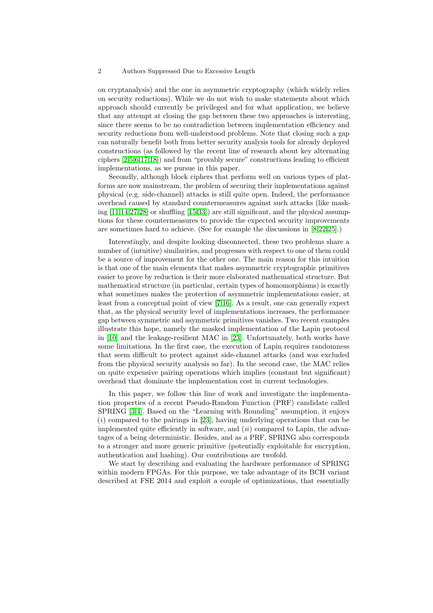on cryptanalysis) and the one in asymmetric cryptography (which widely relies on security reductions). While we do not wish to make statements about which approach should currently be privileged and for what application, we believe that any attempt at closing the gap between these two approaches is interesting, since there seems to be no contradiction between implementation efficiency and security reductions from well-understood problems. Note that closing such a gap can naturally benefit both from better security analysis tools for already deployed constructions (as followed by the recent line of research about key alternating ciphers [\[2,](#page-17-0)[5,](#page-17-1)[6,](#page-17-2)[17](#page-18-2)[,18\]](#page-18-3)) and from "provably secure" constructions leading to efficient implementations, as we pursue in this paper.

Secondly, although block ciphers that perform well on various types of platforms are now mainstream, the problem of securing their implementations against physical (e.g. side-channel) attacks is still quite open. Indeed, the performance overhead caused by standard countermeasures against such attacks (like masking  $[11,14,27,28]$  $[11,14,27,28]$  $[11,14,27,28]$  $[11,14,27,28]$  or shuffling  $[15,33]$  $[15,33]$  are still significant, and the physical assumptions for these countermeasures to provide the expected security improvements are sometimes hard to achieve. (See for example the discussions in [\[8](#page-17-6)[,22,](#page-18-7)[25\]](#page-18-8).)

Interestingly, and despite looking disconnected, these two problems share a number of (intuitive) similarities, and progresses with respect to one of them could be a source of improvement for the other one. The main reason for this intuition is that one of the main elements that makes asymmetric cryptographic primitives easier to prove by reduction is their more elaborated mathematical structure. But mathematical structure (in particular, certain types of homomorphisms) is exactly what sometimes makes the protection of asymmetric implementations easier, at least from a conceptual point of view [\[7](#page-17-7)[,16\]](#page-17-8). As a result, one can generally expect that, as the physical security level of implementations increases, the performance gap between symmetric and asymmetric primitives vanishes. Two recent examples illustrate this hope, namely the masked implementation of the Lapin protocol in [\[10\]](#page-17-9) and the leakage-resilient MAC in [\[23\]](#page-18-9). Unfortunately, both works have some limitations. In the first case, the execution of Lapin requires randomness that seem difficult to protect against side-channel attacks (and was excluded from the physical security analysis so far). In the second case, the MAC relies on quite expensive pairing operations which implies (constant but significant) overhead that dominate the implementation cost in current technologies.

In this paper, we follow this line of work and investigate the implementation properties of a recent Pseudo-Random Function (PRF) candidate called SPRING [\[3](#page-17-10)[,4\]](#page-17-11). Based on the "Learning with Rounding" assumption, it enjoys  $(i)$  compared to the pairings in [\[23\]](#page-18-9), having underlying operations that can be implemented quite efficiently in software, and  $(ii)$  compared to Lapin, the advantages of a being deterministic. Besides, and as a PRF, SPRING also corresponds to a stronger and more generic primitive (potentially exploitable for encryption, authentication and hashing). Our contributions are twofold.

We start by describing and evaluating the hardware performance of SPRING within modern FPGAs. For this purpose, we take advantage of its BCH variant described at FSE 2014 and exploit a couple of optimizations, that essentially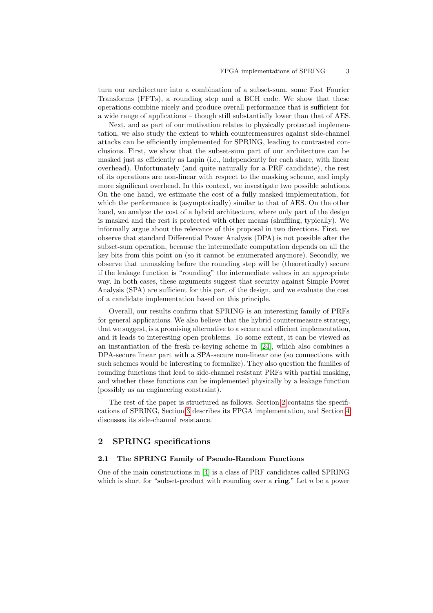turn our architecture into a combination of a subset-sum, some Fast Fourier Transforms (FFTs), a rounding step and a BCH code. We show that these operations combine nicely and produce overall performance that is sufficient for a wide range of applications – though still substantially lower than that of AES.

Next, and as part of our motivation relates to physically protected implementation, we also study the extent to which countermeasures against side-channel attacks can be efficiently implemented for SPRING, leading to contrasted conclusions. First, we show that the subset-sum part of our architecture can be masked just as efficiently as Lapin (i.e., independently for each share, with linear overhead). Unfortunately (and quite naturally for a PRF candidate), the rest of its operations are non-linear with respect to the masking scheme, and imply more significant overhead. In this context, we investigate two possible solutions. On the one hand, we estimate the cost of a fully masked implementation, for which the performance is (asymptotically) similar to that of AES. On the other hand, we analyze the cost of a hybrid architecture, where only part of the design is masked and the rest is protected with other means (shuffling, typically). We informally argue about the relevance of this proposal in two directions. First, we observe that standard Differential Power Analysis (DPA) is not possible after the subset-sum operation, because the intermediate computation depends on all the key bits from this point on (so it cannot be enumerated anymore). Secondly, we observe that unmasking before the rounding step will be (theoretically) secure if the leakage function is "rounding" the intermediate values in an appropriate way. In both cases, these arguments suggest that security against Simple Power Analysis (SPA) are sufficient for this part of the design, and we evaluate the cost of a candidate implementation based on this principle.

Overall, our results confirm that SPRING is an interesting family of PRFs for general applications. We also believe that the hybrid countermeasure strategy, that we suggest, is a promising alternative to a secure and efficient implementation, and it leads to interesting open problems. To some extent, it can be viewed as an instantiation of the fresh re-keying scheme in [\[24\]](#page-18-10), which also combines a DPA-secure linear part with a SPA-secure non-linear one (so connections with such schemes would be interesting to formalize). They also question the families of rounding functions that lead to side-channel resistant PRFs with partial masking, and whether these functions can be implemented physically by a leakage function (possibly as an engineering constraint).

The rest of the paper is structured as follows. Section [2](#page-2-0) contains the specifications of SPRING, Section [3](#page-6-0) describes its FPGA implementation, and Section [4](#page-11-0) discusses its side-channel resistance.

## <span id="page-2-0"></span>2 SPRING specifications

#### 2.1 The SPRING Family of Pseudo-Random Functions

One of the main constructions in [\[4\]](#page-17-11) is a class of PRF candidates called SPRING which is short for "subset-product with rounding over a ring." Let  $n$  be a power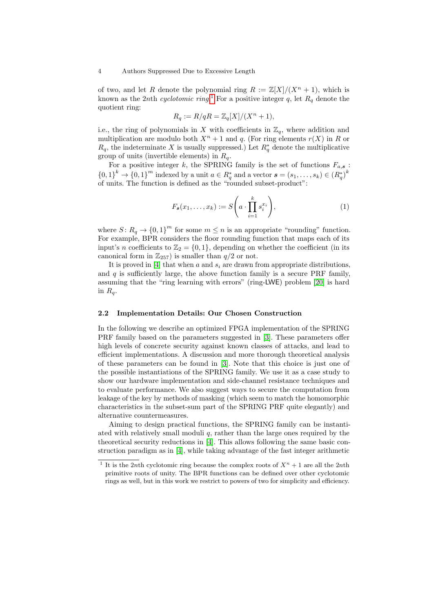of two, and let R denote the polynomial ring  $R := \mathbb{Z}[X]/(X^n + 1)$ , which is known as the 2nth cyclotomic ring.<sup>[1](#page-3-0)</sup> For a positive integer q, let  $R_q$  denote the quotient ring:

$$
R_q := R/qR = \mathbb{Z}_q[X]/(X^n + 1),
$$

i.e., the ring of polynomials in X with coefficients in  $\mathbb{Z}_q$ , where addition and multiplication are modulo both  $X^n + 1$  and q. (For ring elements  $r(X)$  in R or  $R_q$ , the indeterminate X is usually suppressed.) Let  $R_q^*$  denote the multiplicative group of units (invertible elements) in  $R_q$ .

For a positive integer k, the SPRING family is the set of functions  $F_{a,s}$ :  ${0,1}^k \to {0,1}^m$  indexed by a unit  $a \in R^*_q$  and a vector  $\mathbf{s} = (s_1, \ldots, s_k) \in (R^*_q)^k$ of units. The function is defined as the "rounded subset-product":

<span id="page-3-1"></span>
$$
F_s(x_1,\ldots,x_k) := S\left(a \cdot \prod_{i=1}^k s_i^{x_i}\right),\tag{1}
$$

where  $S: R_q \to \{0,1\}^m$  for some  $m \leq n$  is an appropriate "rounding" function. For example, BPR considers the floor rounding function that maps each of its input's *n* coefficients to  $\mathbb{Z}_2 = \{0, 1\}$ , depending on whether the coefficient (in its canonical form in  $\mathbb{Z}_{257}$  is smaller than  $q/2$  or not.

It is proved in [\[4\]](#page-17-11) that when a and  $s_i$  are drawn from appropriate distributions, and  $q$  is sufficiently large, the above function family is a secure PRF family, assuming that the "ring learning with errors" (ring-LWE) problem [\[20\]](#page-18-11) is hard in  $R_q$ .

#### 2.2 Implementation Details: Our Chosen Construction

In the following we describe an optimized FPGA implementation of the SPRING PRF family based on the parameters suggested in [\[3\]](#page-17-10). These parameters offer high levels of concrete security against known classes of attacks, and lead to efficient implementations. A discussion and more thorough theoretical analysis of these parameters can be found in [\[3\]](#page-17-10). Note that this choice is just one of the possible instantiations of the SPRING family. We use it as a case study to show our hardware implementation and side-channel resistance techniques and to evaluate performance. We also suggest ways to secure the computation from leakage of the key by methods of masking (which seem to match the homomorphic characteristics in the subset-sum part of the SPRING PRF quite elegantly) and alternative countermeasures.

Aiming to design practical functions, the SPRING family can be instantiated with relatively small moduli  $q$ , rather than the large ones required by the theoretical security reductions in [\[4\]](#page-17-11). This allows following the same basic construction paradigm as in [\[4\]](#page-17-11), while taking advantage of the fast integer arithmetic

<span id="page-3-0"></span><sup>&</sup>lt;sup>1</sup> It is the 2nth cyclotomic ring because the complex roots of  $X^n + 1$  are all the 2nth primitive roots of unity. The BPR functions can be defined over other cyclotomic rings as well, but in this work we restrict to powers of two for simplicity and efficiency.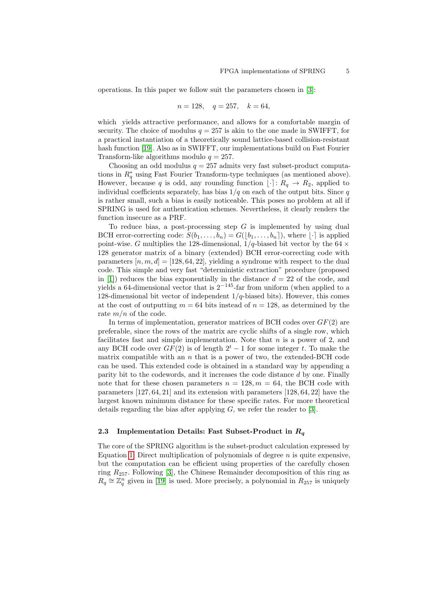operations. In this paper we follow suit the parameters chosen in [\[3\]](#page-17-10):

$$
n = 128, \quad q = 257, \quad k = 64,
$$

which yields attractive performance, and allows for a comfortable margin of security. The choice of modulus  $q = 257$  is akin to the one made in SWIFFT, for a practical instantiation of a theoretically sound lattice-based collision-resistant hash function [\[19\]](#page-18-12). Also as in SWIFFT, our implementations build on Fast Fourier Transform-like algorithms modulo  $q = 257$ .

Choosing an odd modulus  $q = 257$  admits very fast subset-product computations in  $R_q^*$  using Fast Fourier Transform-type techniques (as mentioned above). However, because q is odd, any rounding function  $\lfloor \cdot \rceil : R_q \to R_2$ , applied to individual coefficients separately, has bias  $1/q$  on each of the output bits. Since q is rather small, such a bias is easily noticeable. This poses no problem at all if SPRING is used for authentication schemes. Nevertheless, it clearly renders the function insecure as a PRF.

To reduce bias, a post-processing step  $G$  is implemented by using dual BCH error-correcting code:  $S(b_1, \ldots, b_n) = G([b_1, \ldots, b_n])$ , where  $\lceil \cdot \rceil$  is applied point-wise. G multiplies the 128-dimensional,  $1/q$ -biased bit vector by the 64  $\times$ 128 generator matrix of a binary (extended) BCH error-correcting code with parameters  $[n, m, d] = [128, 64, 22]$ , yielding a syndrome with respect to the dual code. This simple and very fast "deterministic extraction" procedure (proposed in [\[1\]](#page-17-12)) reduces the bias exponentially in the distance  $d = 22$  of the code, and yields a 64-dimensional vector that is  $2^{-145}$ -far from uniform (when applied to a 128-dimensional bit vector of independent  $1/q$ -biased bits). However, this comes at the cost of outputting  $m = 64$  bits instead of  $n = 128$ , as determined by the rate  $m/n$  of the code.

In terms of implementation, generator matrices of BCH codes over  $GF(2)$  are preferable, since the rows of the matrix are cyclic shifts of a single row, which facilitates fast and simple implementation. Note that  $n$  is a power of 2, and any BCH code over  $GF(2)$  is of length  $2^t - 1$  for some integer t. To make the matrix compatible with an  $n$  that is a power of two, the extended-BCH code can be used. This extended code is obtained in a standard way by appending a parity bit to the codewords, and it increases the code distance d by one. Finally note that for these chosen parameters  $n = 128, m = 64$ , the BCH code with parameters [127, 64, 21] and its extension with parameters [128, 64, 22] have the largest known minimum distance for these specific rates. For more theoretical details regarding the bias after applying  $G$ , we refer the reader to [\[3\]](#page-17-10).

## <span id="page-4-0"></span>2.3 Implementation Details: Fast Subset-Product in  $R_q$

The core of the SPRING algorithm is the subset-product calculation expressed by Equation [1.](#page-3-1) Direct multiplication of polynomials of degree  $n$  is quite expensive, but the computation can be efficient using properties of the carefully chosen ring  $R_{257}$ . Following [\[3\]](#page-17-10), the Chinese Remainder decomposition of this ring as  $R_q \cong \mathbb{Z}_q^n$  given in [\[19\]](#page-18-12) is used. More precisely, a polynomial in  $R_{257}$  is uniquely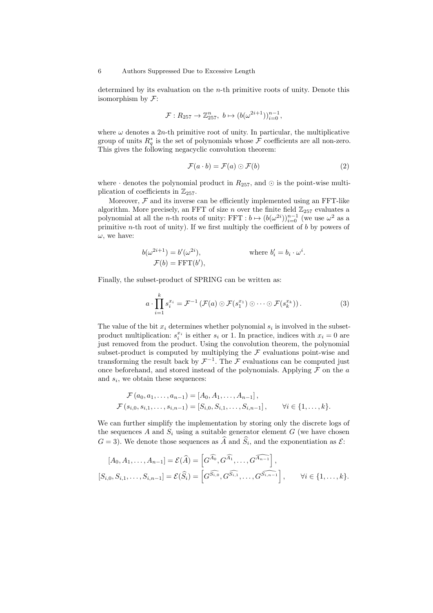determined by its evaluation on the  $n$ -th primitive roots of unity. Denote this isomorphism by  $\mathcal{F}$ :

$$
\mathcal{F}: R_{257} \to \mathbb{Z}_{257}^n, \ b \mapsto (b(\omega^{2i+1}))_{i=0}^{n-1},
$$

where  $\omega$  denotes a 2*n*-th primitive root of unity. In particular, the multiplicative group of units  $R_q^*$  is the set of polynomials whose  $\mathcal F$  coefficients are all non-zero. This gives the following negacyclic convolution theorem:

$$
\mathcal{F}(a \cdot b) = \mathcal{F}(a) \odot \mathcal{F}(b) \tag{2}
$$

where  $\cdot$  denotes the polynomial product in  $R_{257}$ , and  $\odot$  is the point-wise multiplication of coefficients in  $\mathbb{Z}_{257}$ .

Moreover,  $\mathcal F$  and its inverse can be efficiently implemented using an FFT-like algorithm. More precisely, an FFT of size n over the finite field  $\mathbb{Z}_{257}$  evaluates a polynomial at all the *n*-th roots of unity: FFT :  $b \mapsto (b(\omega^{2i}))_{i=0}^{n-1}$  (we use  $\omega^2$  as a primitive *n*-th root of unity). If we first multiply the coefficient of  $b$  by powers of  $\omega$ , we have:

$$
b(\omega^{2i+1}) = b'(\omega^{2i}), \qquad \text{where } b'_i = b_i \cdot \omega^i.
$$
  

$$
\mathcal{F}(b) = \text{FFT}(b'),
$$

Finally, the subset-product of SPRING can be written as:

$$
a \cdot \prod_{i=1}^{k} s_i^{x_i} = \mathcal{F}^{-1} \left( \mathcal{F}(a) \odot \mathcal{F}(s_1^{x_1}) \odot \cdots \odot \mathcal{F}(s_k^{x_k}) \right). \tag{3}
$$

The value of the bit  $x_i$  determines whether polynomial  $s_i$  is involved in the subsetproduct multiplication:  $s_i^{x_i}$  is either  $s_i$  or 1. In practice, indices with  $x_i = 0$  are just removed from the product. Using the convolution theorem, the polynomial subset-product is computed by multiplying the  $\mathcal F$  evaluations point-wise and transforming the result back by  $\mathcal{F}^{-1}$ . The  $\mathcal F$  evaluations can be computed just once beforehand, and stored instead of the polynomials. Applying  $\mathcal F$  on the  $a$ and  $s_i$ , we obtain these sequences:

$$
\mathcal{F}(a_0, a_1, \dots, a_{n-1}) = [A_0, A_1, \dots, A_{n-1}],
$$
  
\n
$$
\mathcal{F}(s_{i,0}, s_{i,1}, \dots, s_{i,n-1}) = [S_{i,0}, S_{i,1}, \dots, S_{i,n-1}], \qquad \forall i \in \{1, \dots, k\}.
$$

We can further simplify the implementation by storing only the discrete logs of the sequences A and  $S_i$  using a suitable generator element  $G$  (we have chosen  $G = 3$ ). We denote those sequences as A and  $S_i$ , and the exponentiation as  $\mathcal{E}$ :

$$
[A_0, A_1, \dots, A_{n-1}] = \mathcal{E}(\widehat{A}) = \left[G^{\widehat{A_0}}, G^{\widehat{A_1}}, \dots, G^{\widehat{A_{n-1}}}\right],
$$
  

$$
[S_{i,0}, S_{i,1}, \dots, S_{i,n-1}] = \mathcal{E}(\widehat{S}_i) = \left[G^{\widehat{S_{i,0}}}, G^{\widehat{S_{i,1}}}, \dots, G^{\widehat{S_{i,n-1}}}\right], \qquad \forall i \in \{1, \dots, k\}.
$$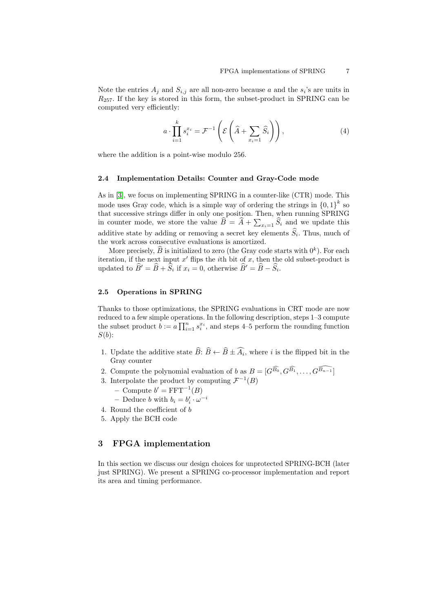Note the entries  $A_j$  and  $S_{i,j}$  are all non-zero because a and the  $s_i$ 's are units in  $R_{257}$ . If the key is stored in this form, the subset-product in SPRING can be computed very efficiently:

$$
a \cdot \prod_{i=1}^{k} s_i^{x_i} = \mathcal{F}^{-1} \left( \mathcal{E} \left( \widehat{A} + \sum_{x_i=1} \widehat{S}_i \right) \right), \tag{4}
$$

where the addition is a point-wise modulo 256.

#### 2.4 Implementation Details: Counter and Gray-Code mode

As in [\[3\]](#page-17-10), we focus on implementing SPRING in a counter-like (CTR) mode. This mode uses Gray code, which is a simple way of ordering the strings in  ${0,1}^k$  so that successive strings differ in only one position. Then, when running SPRING in counter mode, we store the value  $\overline{B} = \overline{A} + \sum_{x_i=1} S_i$  and we update this additive state by adding or removing a secret key elements  $S_i$ . Thus, much of the work across consecutive evaluations is amortized.

More precisely,  $\widehat{B}$  is initialized to zero (the Gray code starts with  $0^k$ ). For each iteration, if the next input  $x'$  flips the *i*th bit of  $x$ , then the old subset-product is updated to  $\widehat{B}' = \widehat{B} + \widehat{S}_i$  if  $x_i = 0$ , otherwise  $\widehat{B}' = \widehat{B} - \widehat{S}_i$ .

### 2.5 Operations in SPRING

Thanks to those optimizations, the SPRING evaluations in CRT mode are now reduced to a few simple operations. In the following description, steps 1–3 compute the subset product  $b := a \prod_{i=1}^{n} s_i^{x_i}$ , and steps 4-5 perform the rounding function  $S(b)$ :

- 1. Update the additive state  $B: B \leftarrow B \pm A_i$ , where i is the flipped bit in the Gray counter
- 2. Compute the polynomial evaluation of b as  $B = [G^{\widehat{B_0}}, G^{\widehat{B_1}}, \ldots, G^{\widehat{B_{n-1}}}]$
- 3. Interpolate the product by computing  $\mathcal{F}^{-1}(B)$ 
	- $\text{Compute } b' = \text{FFT}^{-1}(B)$
	- Deduce b with  $b_i = b'_i \cdot \omega^{-i}$
- 4. Round the coefficient of b
- 5. Apply the BCH code

## <span id="page-6-0"></span>3 FPGA implementation

In this section we discuss our design choices for unprotected SPRING-BCH (later just SPRING). We present a SPRING co-processor implementation and report its area and timing performance.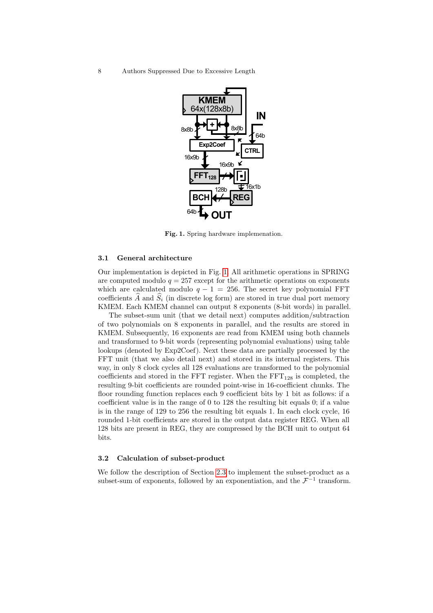

<span id="page-7-0"></span>Fig. 1. Spring hardware implemenation.

### 3.1 General architecture

Our implementation is depicted in Fig. [1.](#page-7-0) All arithmetic operations in SPRING are computed modulo  $q = 257$  except for the arithmetic operations on exponents which are calculated modulo  $q - 1 = 256$ . The secret key polynomial FFT coefficients  $\widehat{A}$  and  $\widehat{S}_i$  (in discrete log form) are stored in true dual port memory KMEM. Each KMEM channel can output 8 exponents (8-bit words) in parallel.

The subset-sum unit (that we detail next) computes addition/subtraction of two polynomials on 8 exponents in parallel, and the results are stored in KMEM. Subsequently, 16 exponents are read from KMEM using both channels and transformed to 9-bit words (representing polynomial evaluations) using table lookups (denoted by Exp2Coef). Next these data are partially processed by the FFT unit (that we also detail next) and stored in its internal registers. This way, in only 8 clock cycles all 128 evaluations are transformed to the polynomial coefficients and stored in the FFT register. When the  $FFT_{128}$  is completed, the resulting 9-bit coefficients are rounded point-wise in 16-coefficient chunks. The floor rounding function replaces each 9 coefficient bits by 1 bit as follows: if a coefficient value is in the range of 0 to 128 the resulting bit equals 0; if a value is in the range of 129 to 256 the resulting bit equals 1. In each clock cycle, 16 rounded 1-bit coefficients are stored in the output data register REG. When all 128 bits are present in REG, they are compressed by the BCH unit to output 64 bits.

### 3.2 Calculation of subset-product

We follow the description of Section [2.3](#page-4-0) to implement the subset-product as a subset-sum of exponents, followed by an exponentiation, and the  $\mathcal{F}^{-1}$  transform.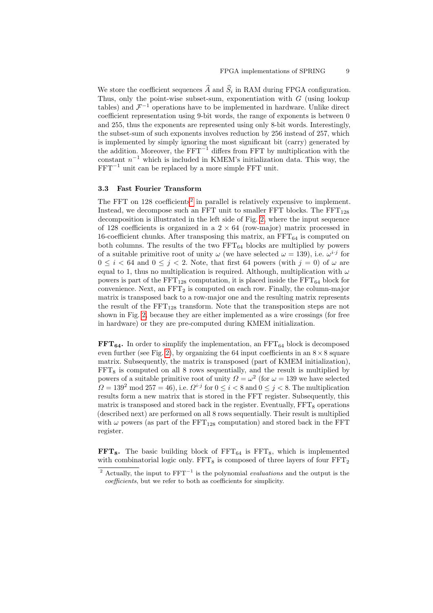We store the coefficient sequences  $A$  and  $S_i$  in RAM during FPGA configuration. Thus, only the point-wise subset-sum, exponentiation with  $G$  (using lookup tables) and  $\mathcal{F}^{-1}$  operations have to be implemented in hardware. Unlike direct coefficient representation using 9-bit words, the range of exponents is between 0 and 255, thus the exponents are represented using only 8-bit words. Interestingly, the subset-sum of such exponents involves reduction by 256 instead of 257, which is implemented by simply ignoring the most significant bit (carry) generated by the addition. Moreover, the  $FFT^{-1}$  differs from FFT by multiplication with the constant  $n^{-1}$  which is included in KMEM's initialization data. This way, the  $FFT^{-1}$  unit can be replaced by a more simple FFT unit.

#### 3.3 Fast Fourier Transform

The FFT on 1[2](#page-8-0)8 coefficients<sup>2</sup> in parallel is relatively expensive to implement. Instead, we decompose such an FFT unit to smaller FFT blocks. The  $\text{FFT}_{128}$ decomposition is illustrated in the left side of Fig. [2,](#page-9-0) where the input sequence of 128 coefficients is organized in a  $2 \times 64$  (row-major) matrix processed in 16-coefficient chunks. After transposing this matrix, an  $\text{FFT}_{64}$  is computed on both columns. The results of the two  $\text{FFT}_{64}$  blocks are multiplied by powers of a suitable primitive root of unity  $\omega$  (we have selected  $\omega = 139$ ), i.e.  $\omega^{i \cdot j}$  for  $0 \leq i < 64$  and  $0 \leq j < 2$ . Note, that first 64 powers (with  $j = 0$ ) of  $\omega$  are equal to 1, thus no multiplication is required. Although, multiplication with  $\omega$ powers is part of the  $\text{FFT}_{128}$  computation, it is placed inside the  $\text{FFT}_{64}$  block for convenience. Next, an  $FFT_2$  is computed on each row. Finally, the column-major matrix is transposed back to a row-major one and the resulting matrix represents the result of the  $FFT_{128}$  transform. Note that the transposition steps are not shown in Fig. [2,](#page-9-0) because they are either implemented as a wire crossings (for free in hardware) or they are pre-computed during KMEM initialization.

 $\text{FFT}_{64}$ . In order to simplify the implementation, an  $\text{FFT}_{64}$  block is decomposed even further (see Fig. [2\)](#page-9-0), by organizing the 64 input coefficients in an  $8 \times 8$  square matrix. Subsequently, the matrix is transposed (part of KMEM initialization),  $FFT_8$  is computed on all 8 rows sequentially, and the result is multiplied by powers of a suitable primitive root of unity  $\Omega = \omega^2$  (for  $\omega = 139$  we have selected  $\Omega = 139^2 \text{ mod } 257 = 46$ , i.e.  $\Omega^{i \cdot j}$  for  $0 \le i < 8$  and  $0 \le j < 8$ . The multiplication results form a new matrix that is stored in the FFT register. Subsequently, this matrix is transposed and stored back in the register. Eventually,  $\text{FFT}_8$  operations (described next) are performed on all 8 rows sequentially. Their result is multiplied with  $\omega$  powers (as part of the FFT<sub>128</sub> computation) and stored back in the FFT register.

 $\text{FFT}_8$ . The basic building block of  $\text{FFT}_{64}$  is  $\text{FFT}_8$ , which is implemented with combinatorial logic only.  $\text{FFT}_8$  is composed of three layers of four  $\text{FFT}_2$ 

<span id="page-8-0"></span><sup>&</sup>lt;sup>2</sup> Actually, the input to  $FFT^{-1}$  is the polynomial *evaluations* and the output is the coefficients, but we refer to both as coefficients for simplicity.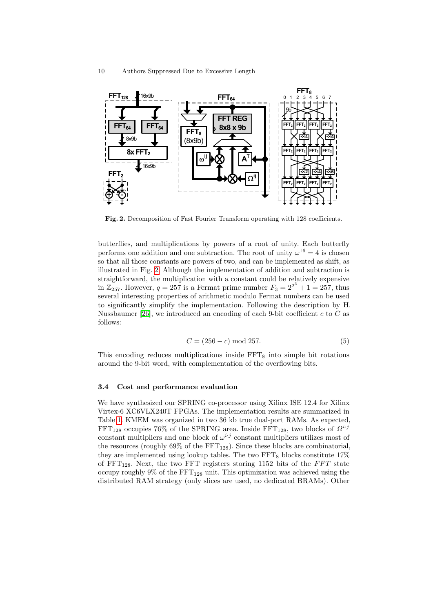

Fig. 2. Decomposition of Fast Fourier Transform operating with 128 coefficients.

butterflies, and multiplications by powers of a root of unity. Each butterfly performs one addition and one subtraction. The root of unity  $\omega^{16} = 4$  is chosen so that all those constants are powers of two, and can be implemented as shift, as illustrated in Fig. [2.](#page-9-0) Although the implementation of addition and subtraction is straightforward, the multiplication with a constant could be relatively expensive in  $\mathbb{Z}_{257}$ . However,  $q = 257$  is a Fermat prime number  $F_3 = 2^{2^3} + 1 = 257$ , thus several interesting properties of arithmetic modulo Fermat numbers can be used to significantly simplify the implementation. Following the description by H. Nussbaumer [\[26\]](#page-18-13), we introduced an encoding of each 9-bit coefficient  $c$  to  $C$  as follows:

<span id="page-9-0"></span>
$$
C = (256 - c) \bmod 257. \tag{5}
$$

This encoding reduces multiplications inside  $\text{FFT}_8$  into simple bit rotations around the 9-bit word, with complementation of the overflowing bits.

## 3.4 Cost and performance evaluation

We have synthesized our SPRING co-processor using Xilinx ISE 12.4 for Xilinx Virtex-6 XC6VLX240T FPGAs. The implementation results are summarized in Table [1.](#page-10-0) KMEM was organized in two 36 kb true dual-port RAMs. As expected,  $FFT_{128}$  occupies 76% of the SPRING area. Inside  $FFT_{128}$ , two blocks of  $\Omega^{i,j}$ constant multipliers and one block of  $\omega^{i \cdot j}$  constant multipliers utilizes most of the resources (roughly  $69\%$  of the  $FFT_{128}$ ). Since these blocks are combinatorial, they are implemented using lookup tables. The two  $\text{FFT}_8$  blocks constitute 17% of  $FFT_{128}$ . Next, the two FFT registers storing 1152 bits of the FFT state occupy roughly  $9\%$  of the FFT<sub>128</sub> unit. This optimization was achieved using the distributed RAM strategy (only slices are used, no dedicated BRAMs). Other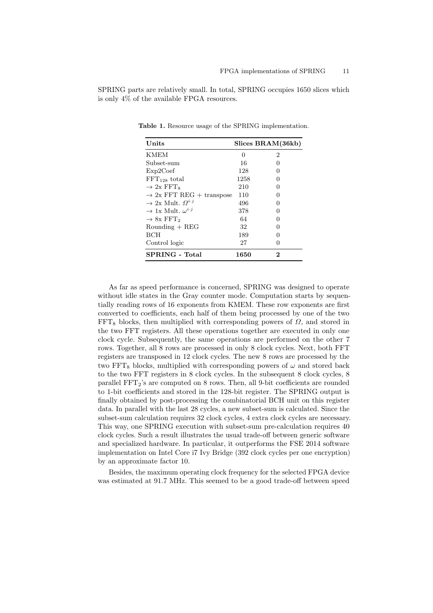<span id="page-10-0"></span>SPRING parts are relatively small. In total, SPRING occupies 1650 slices which is only 4% of the available FPGA resources.

| Units                                       | Slices BRAM(36kb) |              |  |  |
|---------------------------------------------|-------------------|--------------|--|--|
| <b>KMEM</b>                                 | 0                 | 2            |  |  |
| Subset-sum                                  | 16                | $\mathbf{0}$ |  |  |
| Exp2Coef                                    | 128               | $\mathbf{0}$ |  |  |
| $FFT_{128}$ total                           | 1258              | $\mathbf{0}$ |  |  |
| $\rightarrow$ 2x FFT <sub>s</sub>           | 210               | $\mathbf{0}$ |  |  |
| $\rightarrow$ 2x FFT REG + transpose        | 110               | $\mathbf{0}$ |  |  |
| $\rightarrow$ 2x Mult. $\Omega^{i,j}$       | 496               | $\mathbf{0}$ |  |  |
| $\rightarrow$ 1x Mult. $\omega^{i \cdot j}$ | 378               | $\mathbf{0}$ |  |  |
| $\rightarrow$ 8x FFT <sub>2</sub>           | 64                | $\mathbf{0}$ |  |  |
| $Rounding + REG$                            | 32                | $\mathbf{0}$ |  |  |
| <b>BCH</b>                                  | 189               | $\mathbf{0}$ |  |  |
| Control logic                               | 27                | $\theta$     |  |  |
| <b>SPRING - Total</b>                       | 1650              |              |  |  |

Table 1. Resource usage of the SPRING implementation.

As far as speed performance is concerned, SPRING was designed to operate without idle states in the Gray counter mode. Computation starts by sequentially reading rows of 16 exponents from KMEM. These row exponents are first converted to coefficients, each half of them being processed by one of the two  $FFT<sub>8</sub> blocks, then multiplied with corresponding powers of  $\Omega$ , and stored in$ the two FFT registers. All these operations together are executed in only one clock cycle. Subsequently, the same operations are performed on the other 7 rows. Together, all 8 rows are processed in only 8 clock cycles. Next, both FFT registers are transposed in 12 clock cycles. The new 8 rows are processed by the two FFT<sub>8</sub> blocks, multiplied with corresponding powers of  $\omega$  and stored back to the two FFT registers in 8 clock cycles. In the subsequent 8 clock cycles, 8 parallel  $FFT_2$ 's are computed on 8 rows. Then, all 9-bit coefficients are rounded to 1-bit coefficients and stored in the 128-bit register. The SPRING output is finally obtained by post-processing the combinatorial BCH unit on this register data. In parallel with the last 28 cycles, a new subset-sum is calculated. Since the subset-sum calculation requires 32 clock cycles, 4 extra clock cycles are necessary. This way, one SPRING execution with subset-sum pre-calculation requires 40 clock cycles. Such a result illustrates the usual trade-off between generic software and specialized hardware. In particular, it outperforms the FSE 2014 software implementation on Intel Core i7 Ivy Bridge (392 clock cycles per one encryption) by an approximate factor 10.

Besides, the maximum operating clock frequency for the selected FPGA device was estimated at 91.7 MHz. This seemed to be a good trade-off between speed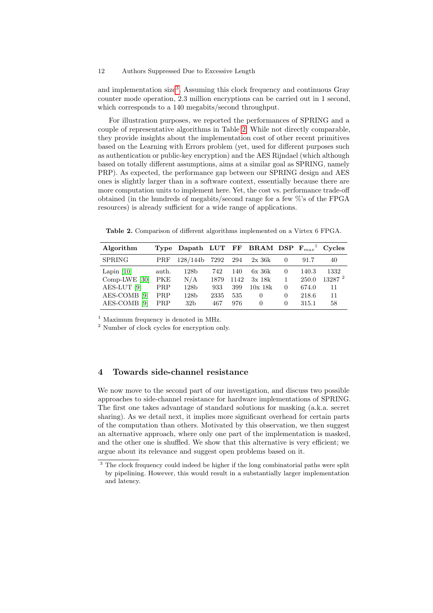and implementation size<sup>[3](#page-11-1)</sup>. Assuming this clock frequency and continuous Gray counter mode operation, 2.3 million encryptions can be carried out in 1 second, which corresponds to a 140 megabits/second throughput.

For illustration purposes, we reported the performances of SPRING and a couple of representative algorithms in Table [2.](#page-11-2) While not directly comparable, they provide insights about the implementation cost of other recent primitives based on the Learning with Errors problem (yet, used for different purposes such as authentication or public-key encryption) and the AES Rijndael (which although based on totally different assumptions, aims at a similar goal as SPRING, namely PRP). As expected, the performance gap between our SPRING design and AES ones is slightly larger than in a software context, essentially because there are more computation units to implement here. Yet, the cost vs. performance trade-off obtained (in the hundreds of megabits/second range for a few %'s of the FPGA resources) is already sufficient for a wide range of applications.

<span id="page-11-2"></span>Table 2. Comparison of different algorithms implemented on a Virtex 6 FPGA.

| Algorithm               |            | Type Dapath LUT FF BRAM DSP $F_{max}^{-1}$ Cycles |      |      |              |          |       |              |
|-------------------------|------------|---------------------------------------------------|------|------|--------------|----------|-------|--------------|
| <b>SPRING</b>           | PRF        | 128/144b 7292 294                                 |      |      | $2x\;36k$    | $\theta$ | 91.7  | 40           |
| Lapin $[10]$            | auth.      | 128 <sub>b</sub>                                  | 742  | 140  | $6x\;36k$    | 0        | 140.3 | 1332         |
| Comp-LWE $[30]$         | PKE        | N/A                                               | 1879 | 1142 | 3x18k        | 1        | 250.0 | $13287$ $^2$ |
| AES-LUT <sup>[9]</sup>  | <b>PRP</b> | 128 <sub>b</sub>                                  | 933  | 399  | $10x$ 18 $k$ | $\Omega$ | 674.0 | 11           |
| AES-COMB <sup>[9]</sup> | <b>PRP</b> | 128 <sub>b</sub>                                  | 2335 | 535  | $\theta$     | $\Omega$ | 218.6 | 11           |
| AES-COMB <sup>[9]</sup> | PRP        | 32 <sub>b</sub>                                   | 467  | 976  | $\Omega$     | $\Omega$ | 315.1 | 58           |

 $^{\rm 1}$  Maximum frequency is denoted in MHz.

<sup>2</sup> Number of clock cycles for encryption only.

## <span id="page-11-0"></span>4 Towards side-channel resistance

We now move to the second part of our investigation, and discuss two possible approaches to side-channel resistance for hardware implementations of SPRING. The first one takes advantage of standard solutions for masking (a.k.a. secret sharing). As we detail next, it implies more significant overhead for certain parts of the computation than others. Motivated by this observation, we then suggest an alternative approach, where only one part of the implementation is masked, and the other one is shuffled. We show that this alternative is very efficient; we argue about its relevance and suggest open problems based on it.

<span id="page-11-1"></span><sup>&</sup>lt;sup>3</sup> The clock frequency could indeed be higher if the long combinatorial paths were split by pipelining. However, this would result in a substantially larger implementation and latency.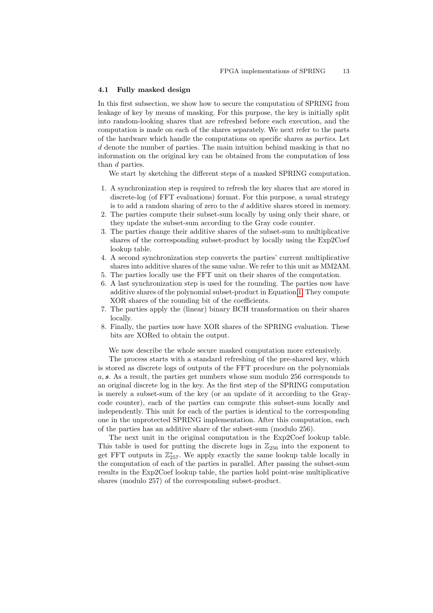#### 4.1 Fully masked design

In this first subsection, we show how to secure the computation of SPRING from leakage of key by means of masking. For this purpose, the key is initially split into random-looking shares that are refreshed before each execution, and the computation is made on each of the shares separately. We next refer to the parts of the hardware which handle the computations on specific shares as parties. Let d denote the number of parties. The main intuition behind masking is that no information on the original key can be obtained from the computation of less than d parties.

We start by sketching the different steps of a masked SPRING computation.

- 1. A synchronization step is required to refresh the key shares that are stored in discrete-log (of FFT evaluations) format. For this purpose, a usual strategy is to add a random sharing of zero to the d additive shares stored in memory.
- 2. The parties compute their subset-sum locally by using only their share, or they update the subset-sum according to the Gray code counter.
- 3. The parties change their additive shares of the subset-sum to multiplicative shares of the corresponding subset-product by locally using the Exp2Coef lookup table.
- 4. A second synchronization step converts the parties' current multiplicative shares into additive shares of the same value. We refer to this unit as MM2AM.
- 5. The parties locally use the FFT unit on their shares of the computation.
- 6. A last synchronization step is used for the rounding. The parties now have additive shares of the polynomial subset-product in Equation [1.](#page-3-1) They compute XOR shares of the rounding bit of the coefficients.
- 7. The parties apply the (linear) binary BCH transformation on their shares locally.
- 8. Finally, the parties now have XOR shares of the SPRING evaluation. These bits are XORed to obtain the output.

We now describe the whole secure masked computation more extensively.

The process starts with a standard refreshing of the pre-shared key, which is stored as discrete logs of outputs of the FFT procedure on the polynomials a, s. As a result, the parties get numbers whose sum modulo 256 corresponds to an original discrete log in the key. As the first step of the SPRING computation is merely a subset-sum of the key (or an update of it according to the Graycode counter), each of the parties can compute this subset-sum locally and independently. This unit for each of the parties is identical to the corresponding one in the unprotected SPRING implementation. After this computation, each of the parties has an additive share of the subset-sum (modulo 256).

The next unit in the original computation is the Exp2Coef lookup table. This table is used for putting the discrete logs in  $\mathbb{Z}_{256}$  into the exponent to get FFT outputs in  $\mathbb{Z}_{257}^*$ . We apply exactly the same lookup table locally in the computation of each of the parties in parallel. After passing the subset-sum results in the Exp2Coef lookup table, the parties hold point-wise multiplicative shares (modulo 257) of the corresponding subset-product.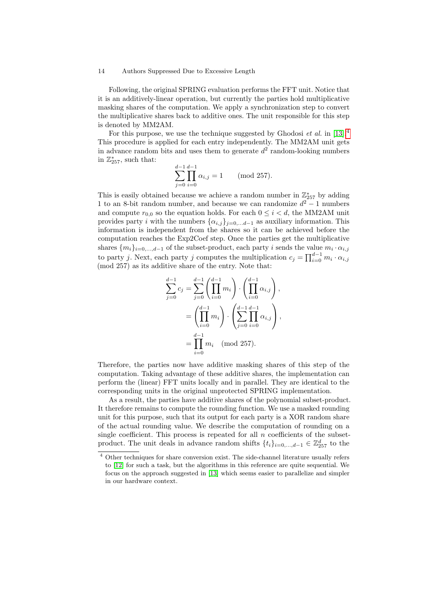Following, the original SPRING evaluation performs the FFT unit. Notice that it is an additively-linear operation, but currently the parties hold multiplicative masking shares of the computation. We apply a synchronization step to convert the multiplicative shares back to additive ones. The unit responsible for this step is denoted by MM2AM.

For this purpose, we use the technique suggested by Ghodosi  $et$  al. in [\[13\]](#page-17-14).<sup>[4](#page-13-0)</sup> This procedure is applied for each entry independently. The MM2AM unit gets in advance random bits and uses them to generate  $d^2$  random-looking numbers in  $\mathbb{Z}_{257}^*$ , such that:

$$
\sum_{j=0}^{d-1} \prod_{i=0}^{d-1} \alpha_{i,j} = 1 \quad \text{(mod 257)}.
$$

This is easily obtained because we achieve a random number in  $\mathbb{Z}_{257}^*$  by adding 1 to an 8-bit random number, and because we can randomize  $d^2 - 1$  numbers and compute  $r_{0,0}$  so the equation holds. For each  $0 \leq i \leq d$ , the MM2AM unit provides party *i* with the numbers  $\{\alpha_{i,j}\}_{j=0,\ldots,d-1}$  as auxiliary information. This information is independent from the shares so it can be achieved before the computation reaches the Exp2Coef step. Once the parties get the multiplicative shares  $\{m_i\}_{i=0,\dots,d-1}$  of the subset-product, each party i sends the value  $m_i \cdot \alpha_{i,j}$ to party j. Next, each party j computes the multiplication  $c_j = \prod_{i=0}^{d-1} m_i \cdot \alpha_{i,j}$ (mod 257) as its additive share of the entry. Note that:

$$
\sum_{j=0}^{d-1} c_j = \sum_{j=0}^{d-1} \left( \prod_{i=0}^{d-1} m_i \right) \cdot \left( \prod_{i=0}^{d-1} \alpha_{i,j} \right),
$$

$$
= \left( \prod_{i=0}^{d-1} m_i \right) \cdot \left( \sum_{j=0}^{d-1} \prod_{i=0}^{d-1} \alpha_{i,j} \right),
$$

$$
= \prod_{i=0}^{d-1} m_i \pmod{257}.
$$

Therefore, the parties now have additive masking shares of this step of the computation. Taking advantage of these additive shares, the implementation can perform the (linear) FFT units locally and in parallel. They are identical to the corresponding units in the original unprotected SPRING implementation.

As a result, the parties have additive shares of the polynomial subset-product. It therefore remains to compute the rounding function. We use a masked rounding unit for this purpose, such that its output for each party is a XOR random share of the actual rounding value. We describe the computation of rounding on a single coefficient. This process is repeated for all  $n$  coefficients of the subsetproduct. The unit deals in advance random shifts  $\{t_i\}_{i=0,\dots,d-1} \in \mathbb{Z}_{257}^d$  to the

<span id="page-13-0"></span> $^4$  Other techniques for share conversion exist. The side-channel literature usually refers to [\[12\]](#page-17-15) for such a task, but the algorithms in this reference are quite sequential. We focus on the approach suggested in [\[13\]](#page-17-14) which seems easier to parallelize and simpler in our hardware context.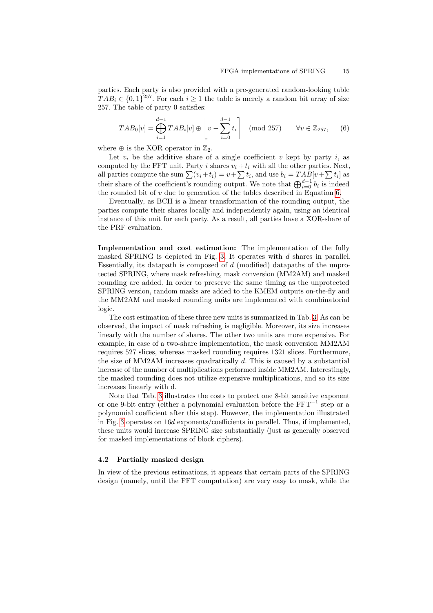parties. Each party is also provided with a pre-generated random-looking table  $TAB_i \in \{0,1\}^{257}$ . For each  $i \geq 1$  the table is merely a random bit array of size 257. The table of party 0 satisfies:

<span id="page-14-0"></span>
$$
TAB_0[v] = \bigoplus_{i=1}^{d-1} TAB_i[v] \oplus \left[ v - \sum_{i=0}^{d-1} t_i \right] \pmod{257} \qquad \forall v \in \mathbb{Z}_{257}, \qquad (6)
$$

where  $\oplus$  is the XOR operator in  $\mathbb{Z}_2$ .

Let  $v_i$  be the additive share of a single coefficient v kept by party i, as computed by the FFT unit. Party i shares  $v_i + t_i$  with all the other parties. Next, all parties compute the sum  $\sum_{i=1}^{n} (v_i + t_i) = v + \sum_{i=1}^{n} t_i$ , and use  $b_i = TAB[v + \sum_{i=1}^{n} t_i]$  as their share of the coefficient's rounding output. We note that  $\bigoplus_{i=0}^{d-1} b_i$  is indeed the rounded bit of  $v$  due to generation of the tables described in Equation [6.](#page-14-0)

Eventually, as BCH is a linear transformation of the rounding output, the parties compute their shares locally and independently again, using an identical instance of this unit for each party. As a result, all parties have a XOR-share of the PRF evaluation.

Implementation and cost estimation: The implementation of the fully masked SPRING is depicted in Fig. [3.](#page-15-0) It operates with  $d$  shares in parallel. Essentially, its datapath is composed of d (modified) datapaths of the unprotected SPRING, where mask refreshing, mask conversion (MM2AM) and masked rounding are added. In order to preserve the same timing as the unprotected SPRING version, random masks are added to the KMEM outputs on-the-fly and the MM2AM and masked rounding units are implemented with combinatorial logic.

The cost estimation of these three new units is summarized in Tab. [3.](#page-15-1) As can be observed, the impact of mask refreshing is negligible. Moreover, its size increases linearly with the number of shares. The other two units are more expensive. For example, in case of a two-share implementation, the mask conversion MM2AM requires 527 slices, whereas masked rounding requires 1321 slices. Furthermore, the size of MM2AM increases quadratically  $d$ . This is caused by a substantial increase of the number of multiplications performed inside MM2AM. Interestingly, the masked rounding does not utilize expensive multiplications, and so its size increases linearly with d.

Note that Tab. [3](#page-15-1) illustrates the costs to protect one 8-bit sensitive exponent or one 9-bit entry (either a polynomial evaluation before the  $FFT^{-1}$  step or a polynomial coefficient after this step). However, the implementation illustrated in Fig. [3](#page-15-0) operates on 16d exponents/coefficients in parallel. Thus, if implemented, these units would increase SPRING size substantially (just as generally observed for masked implementations of block ciphers).

#### 4.2 Partially masked design

In view of the previous estimations, it appears that certain parts of the SPRING design (namely, until the FFT computation) are very easy to mask, while the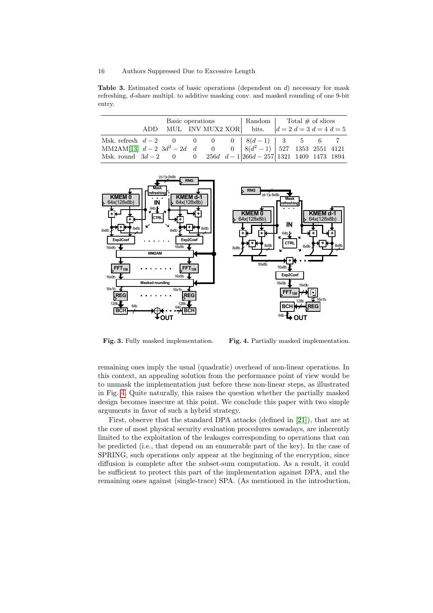<span id="page-15-1"></span>**Table 3.** Estimated costs of basic operations (dependent on  $d$ ) necessary for mask refreshing, d-share multipl. to additive masking conv. and masked rounding of one 9-bit entry.

|                                                                                                                   | Basic operations |  | $\vert$ Random $\vert$ Total $\#$ of slices<br>ADD MUL INV MUX2 XOR bits. $ d=2$ $d=3$ $d=4$ $d=5$ |  |  |
|-------------------------------------------------------------------------------------------------------------------|------------------|--|----------------------------------------------------------------------------------------------------|--|--|
|                                                                                                                   |                  |  |                                                                                                    |  |  |
| Msk. refresh $d-2$ 0 0 0 0 $ 8(d-1) $ 3 5 6 7<br>MM2AM[13] $d-2$ 3 $d^2-2d$ d 0 0 $ 8(d^2-1) $ 527 1353 2551 4121 |                  |  |                                                                                                    |  |  |
| Msk. round $3d - 2$ 0 0 $256d$ $d - 1 266d - 257 1321$ 1409 1473 1894                                             |                  |  |                                                                                                    |  |  |



<span id="page-15-0"></span>Fig. 3. Fully masked implementation.

<span id="page-15-2"></span>Fig. 4. Partially masked implementation.

remaining ones imply the usual (quadratic) overhead of non-linear operations. In this context, an appealing solution from the performance point of view would be to unmask the implementation just before these non-linear steps, as illustrated in Fig. [4.](#page-15-2) Quite naturally, this raises the question whether the partially masked design becomes insecure at this point. We conclude this paper with two simple arguments in favor of such a hybrid strategy.

First, observe that the standard DPA attacks (defined in [\[21\]](#page-18-15)), that are at the core of most physical security evaluation procedures nowadays, are inherently limited to the exploitation of the leakages corresponding to operations that can be predicted (i.e., that depend on an enumerable part of the key). In the case of SPRING, such operations only appear at the beginning of the encryption, since diffusion is complete after the subset-sum computation. As a result, it could be sufficient to protect this part of the implementation against DPA, and the remaining ones against (single-trace) SPA. (As mentioned in the introduction,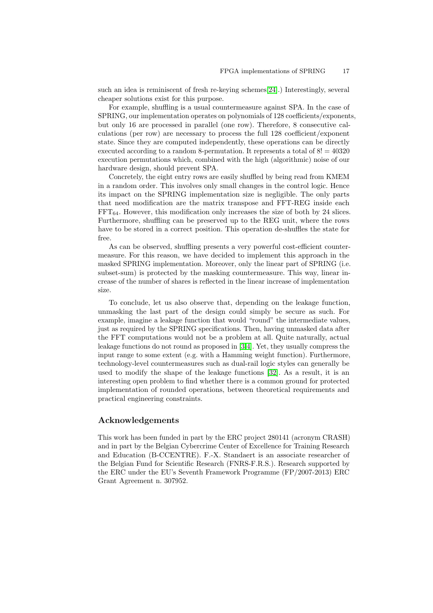such an idea is reminiscent of fresh re-keying schemes[\[24\]](#page-18-10).) Interestingly, several cheaper solutions exist for this purpose.

For example, shuffling is a usual countermeasure against SPA. In the case of SPRING, our implementation operates on polynomials of 128 coefficients/exponents, but only 16 are processed in parallel (one row). Therefore, 8 consecutive calculations (per row) are necessary to process the full 128 coefficient/exponent state. Since they are computed independently, these operations can be directly executed according to a random 8-permutation. It represents a total of  $8! = 40320$ execution permutations which, combined with the high (algorithmic) noise of our hardware design, should prevent SPA.

Concretely, the eight entry rows are easily shuffled by being read from KMEM in a random order. This involves only small changes in the control logic. Hence its impact on the SPRING implementation size is negligible. The only parts that need modification are the matrix transpose and FFT-REG inside each  $FFT_{64}$ . However, this modification only increases the size of both by 24 slices. Furthermore, shuffling can be preserved up to the REG unit, where the rows have to be stored in a correct position. This operation de-shuffles the state for free.

As can be observed, shuffling presents a very powerful cost-efficient countermeasure. For this reason, we have decided to implement this approach in the masked SPRING implementation. Moreover, only the linear part of SPRING (i.e. subset-sum) is protected by the masking countermeasure. This way, linear increase of the number of shares is reflected in the linear increase of implementation size.

To conclude, let us also observe that, depending on the leakage function, unmasking the last part of the design could simply be secure as such. For example, imagine a leakage function that would "round" the intermediate values, just as required by the SPRING specifications. Then, having unmasked data after the FFT computations would not be a problem at all. Quite naturally, actual leakage functions do not round as proposed in [\[3,](#page-17-10)[4\]](#page-17-11). Yet, they usually compress the input range to some extent (e.g. with a Hamming weight function). Furthermore, technology-level countermeasures such as dual-rail logic styles can generally be used to modify the shape of the leakage functions [\[32\]](#page-18-16). As a result, it is an interesting open problem to find whether there is a common ground for protected implementation of rounded operations, between theoretical requirements and practical engineering constraints.

#### Acknowledgements

This work has been funded in part by the ERC project 280141 (acronym CRASH) and in part by the Belgian Cybercrime Center of Excellence for Training Research and Education (B-CCENTRE). F.-X. Standaert is an associate researcher of the Belgian Fund for Scientific Research (FNRS-F.R.S.). Research supported by the ERC under the EU's Seventh Framework Programme (FP/2007-2013) ERC Grant Agreement n. 307952.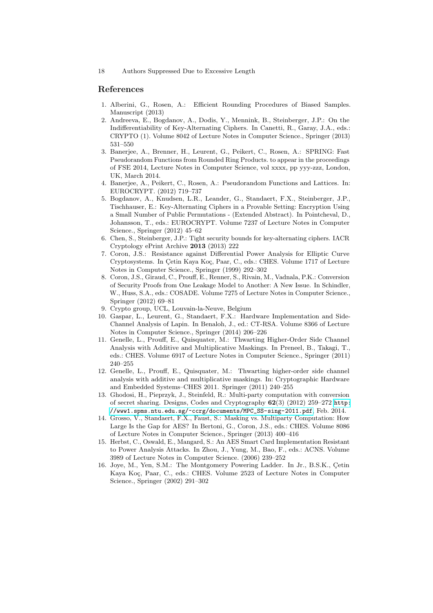#### References

- <span id="page-17-12"></span>1. Alberini, G., Rosen, A.: Efficient Rounding Procedures of Biased Samples. Manuscript (2013)
- <span id="page-17-0"></span>2. Andreeva, E., Bogdanov, A., Dodis, Y., Mennink, B., Steinberger, J.P.: On the Indifferentiability of Key-Alternating Ciphers. In Canetti, R., Garay, J.A., eds.: CRYPTO (1). Volume 8042 of Lecture Notes in Computer Science., Springer (2013) 531–550
- <span id="page-17-10"></span>3. Banerjee, A., Brenner, H., Leurent, G., Peikert, C., Rosen, A.: SPRING: Fast Pseudorandom Functions from Rounded Ring Products. to appear in the proceedings of FSE 2014, Lecture Notes in Computer Science, vol xxxx, pp yyy-zzz, London, UK, March 2014.
- <span id="page-17-11"></span>4. Banerjee, A., Peikert, C., Rosen, A.: Pseudorandom Functions and Lattices. In: EUROCRYPT. (2012) 719–737
- <span id="page-17-1"></span>5. Bogdanov, A., Knudsen, L.R., Leander, G., Standaert, F.X., Steinberger, J.P., Tischhauser, E.: Key-Alternating Ciphers in a Provable Setting: Encryption Using a Small Number of Public Permutations - (Extended Abstract). In Pointcheval, D., Johansson, T., eds.: EUROCRYPT. Volume 7237 of Lecture Notes in Computer Science., Springer (2012) 45–62
- <span id="page-17-2"></span>6. Chen, S., Steinberger, J.P.: Tight security bounds for key-alternating ciphers. IACR Cryptology ePrint Archive 2013 (2013) 222
- <span id="page-17-7"></span>7. Coron, J.S.: Resistance against Differential Power Analysis for Elliptic Curve Cryptosystems. In Cetin Kaya Koç, Paar, C., eds.: CHES. Volume 1717 of Lecture Notes in Computer Science., Springer (1999) 292–302
- <span id="page-17-6"></span>8. Coron, J.S., Giraud, C., Prouff, E., Renner, S., Rivain, M., Vadnala, P.K.: Conversion of Security Proofs from One Leakage Model to Another: A New Issue. In Schindler, W., Huss, S.A., eds.: COSADE. Volume 7275 of Lecture Notes in Computer Science., Springer (2012) 69–81
- <span id="page-17-13"></span>9. Crypto group, UCL, Louvain-la-Neuve, Belgium
- <span id="page-17-9"></span>10. Gaspar, L., Leurent, G., Standaert, F.X.: Hardware Implementation and Side-Channel Analysis of Lapin. In Benaloh, J., ed.: CT-RSA. Volume 8366 of Lecture Notes in Computer Science., Springer (2014) 206–226
- <span id="page-17-3"></span>11. Genelle, L., Prouff, E., Quisquater, M.: Thwarting Higher-Order Side Channel Analysis with Additive and Multiplicative Maskings. In Preneel, B., Takagi, T., eds.: CHES. Volume 6917 of Lecture Notes in Computer Science., Springer (2011) 240–255
- <span id="page-17-15"></span>12. Genelle, L., Prouff, E., Quisquater, M.: Thwarting higher-order side channel analysis with additive and multiplicative maskings. In: Cryptographic Hardware and Embedded Systems–CHES 2011. Springer (2011) 240–255
- <span id="page-17-14"></span>13. Ghodosi, H., Pieprzyk, J., Steinfeld, R.: Multi-party computation with conversion of secret sharing. Designs, Codes and Cryptography  $62(3)$  (2012) 259–272 [http:](http://www1.spms.ntu.edu.sg/~ccrg/documents/MPC_SS-sing-2011.pdf) [//www1.spms.ntu.edu.sg/~ccrg/documents/MPC\\_SS-sing-2011.pdf](http://www1.spms.ntu.edu.sg/~ccrg/documents/MPC_SS-sing-2011.pdf), Feb. 2014.
- <span id="page-17-4"></span>14. Grosso, V., Standaert, F.X., Faust, S.: Masking vs. Multiparty Computation: How Large Is the Gap for AES? In Bertoni, G., Coron, J.S., eds.: CHES. Volume 8086 of Lecture Notes in Computer Science., Springer (2013) 400–416
- <span id="page-17-5"></span>15. Herbst, C., Oswald, E., Mangard, S.: An AES Smart Card Implementation Resistant to Power Analysis Attacks. In Zhou, J., Yung, M., Bao, F., eds.: ACNS. Volume 3989 of Lecture Notes in Computer Science. (2006) 239–252
- <span id="page-17-8"></span>16. Joye, M., Yen, S.M.: The Montgomery Powering Ladder. In Jr., B.S.K., Çetin Kaya Koç, Paar, C., eds.: CHES. Volume 2523 of Lecture Notes in Computer Science., Springer (2002) 291–302